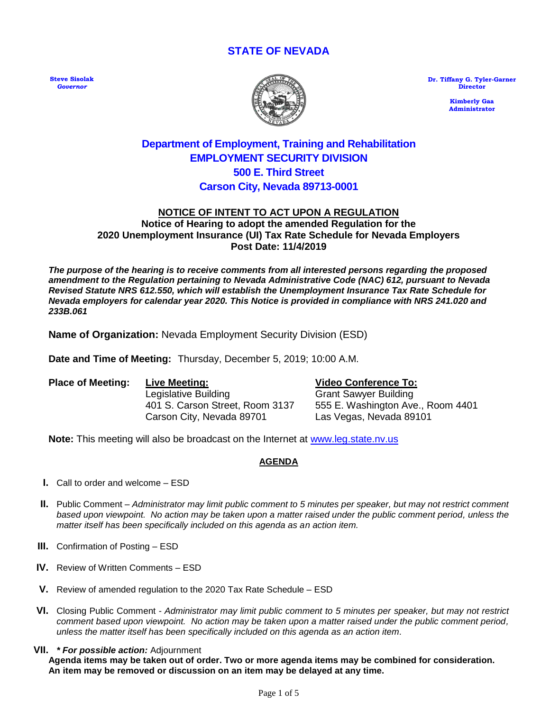# **STATE OF NEVADA**

**Steve Sisolak** *Governor*



**Dr. Tiffany G. Tyler-Garner Director**

> **Kimberly Gaa Administrator**

# **Department of Employment, Training and Rehabilitation EMPLOYMENT SECURITY DIVISION 500 E. Third Street Carson City, Nevada 89713-0001**

#### **NOTICE OF INTENT TO ACT UPON A REGULATION Notice of Hearing to adopt the amended Regulation for the 2020 Unemployment Insurance (UI) Tax Rate Schedule for Nevada Employers Post Date: 11/4/2019**

*The purpose of the hearing is to receive comments from all interested persons regarding the proposed amendment to the Regulation pertaining to Nevada Administrative Code (NAC) 612, pursuant to Nevada Revised Statute NRS 612.550, which will establish the Unemployment Insurance Tax Rate Schedule for Nevada employers for calendar year 2020. This Notice is provided in compliance with NRS 241.020 and 233B.061*

**Name of Organization:** Nevada Employment Security Division (ESD)

**Date and Time of Meeting:** Thursday, December 5, 2019; 10:00 A.M.

**Place of Meeting: Live Meeting: Video Conference To:** Legislative Building Grant Sawyer Building 401 S. Carson Street, Room 3137 555 E. Washington Ave., Room 4401 Carson City, Nevada 89701 Las Vegas, Nevada 89101

Note: This meeting will also be broadcast on the Internet at [www.leg.state.nv.us](http://www.leg.state.nv.us/)

#### **AGENDA**

- **I.** Call to order and welcome ESD
- **II.** Public Comment *Administrator may limit public comment to 5 minutes per speaker, but may not restrict comment based upon viewpoint. No action may be taken upon a matter raised under the public comment period, unless the matter itself has been specifically included on this agenda as an action item.*
- **III.** Confirmation of Posting ESD
- **IV.** Review of Written Comments ESD
- **V.** Review of amended regulation to the 2020 Tax Rate Schedule ESD
- **VI.** Closing Public Comment *Administrator may limit public comment to 5 minutes per speaker, but may not restrict comment based upon viewpoint. No action may be taken upon a matter raised under the public comment period, unless the matter itself has been specifically included on this agenda as an action item.*
- **VII.** *\* For possible action:* Adjournment

**Agenda items may be taken out of order. Two or more agenda items may be combined for consideration. An item may be removed or discussion on an item may be delayed at any time.**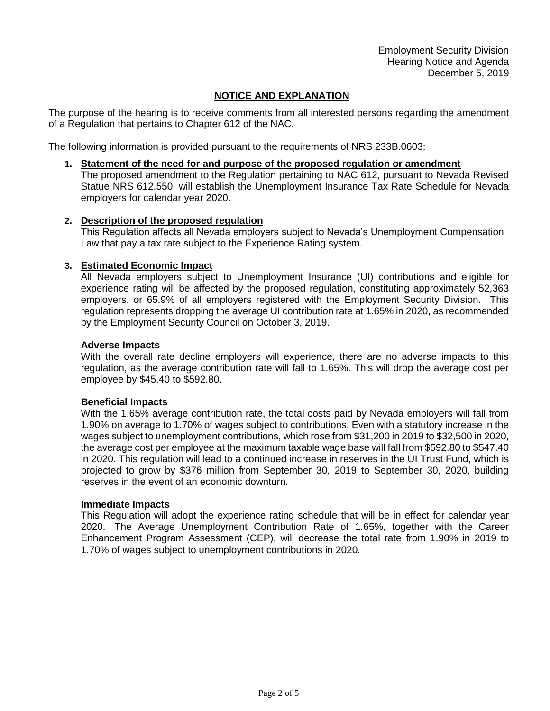Employment Security Division Hearing Notice and Agenda December 5, 2019

# **NOTICE AND EXPLANATION**

The purpose of the hearing is to receive comments from all interested persons regarding the amendment of a Regulation that pertains to Chapter 612 of the NAC.

The following information is provided pursuant to the requirements of NRS 233B.0603:

**1. Statement of the need for and purpose of the proposed regulation or amendment**

The proposed amendment to the Regulation pertaining to NAC 612, pursuant to Nevada Revised Statue NRS 612.550, will establish the Unemployment Insurance Tax Rate Schedule for Nevada employers for calendar year 2020.

#### **2. Description of the proposed regulation**

This Regulation affects all Nevada employers subject to Nevada's Unemployment Compensation Law that pay a tax rate subject to the Experience Rating system.

#### **3. Estimated Economic Impact**

All Nevada employers subject to Unemployment Insurance (UI) contributions and eligible for experience rating will be affected by the proposed regulation, constituting approximately 52,363 employers, or 65.9% of all employers registered with the Employment Security Division. This regulation represents dropping the average UI contribution rate at 1.65% in 2020, as recommended by the Employment Security Council on October 3, 2019.

#### **Adverse Impacts**

With the overall rate decline employers will experience, there are no adverse impacts to this regulation, as the average contribution rate will fall to 1.65%. This will drop the average cost per employee by \$45.40 to \$592.80.

#### **Beneficial Impacts**

With the 1.65% average contribution rate, the total costs paid by Nevada employers will fall from 1.90% on average to 1.70% of wages subject to contributions. Even with a statutory increase in the wages subject to unemployment contributions, which rose from \$31,200 in 2019 to \$32,500 in 2020, the average cost per employee at the maximum taxable wage base will fall from \$592.80 to \$547.40 in 2020. This regulation will lead to a continued increase in reserves in the UI Trust Fund, which is projected to grow by \$376 million from September 30, 2019 to September 30, 2020, building reserves in the event of an economic downturn.

#### **Immediate Impacts**

This Regulation will adopt the experience rating schedule that will be in effect for calendar year 2020. The Average Unemployment Contribution Rate of 1.65%, together with the Career Enhancement Program Assessment (CEP), will decrease the total rate from 1.90% in 2019 to 1.70% of wages subject to unemployment contributions in 2020.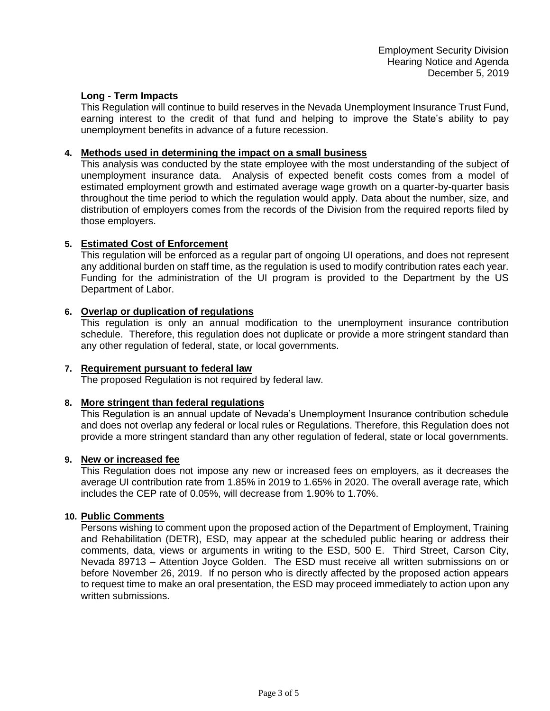#### **Long - Term Impacts**

This Regulation will continue to build reserves in the Nevada Unemployment Insurance Trust Fund, earning interest to the credit of that fund and helping to improve the State's ability to pay unemployment benefits in advance of a future recession.

#### **4. Methods used in determining the impact on a small business**

This analysis was conducted by the state employee with the most understanding of the subject of unemployment insurance data. Analysis of expected benefit costs comes from a model of estimated employment growth and estimated average wage growth on a quarter-by-quarter basis throughout the time period to which the regulation would apply. Data about the number, size, and distribution of employers comes from the records of the Division from the required reports filed by those employers.

# **5. Estimated Cost of Enforcement**

This regulation will be enforced as a regular part of ongoing UI operations, and does not represent any additional burden on staff time, as the regulation is used to modify contribution rates each year. Funding for the administration of the UI program is provided to the Department by the US Department of Labor.

# **6. Overlap or duplication of regulations**

This regulation is only an annual modification to the unemployment insurance contribution schedule. Therefore, this regulation does not duplicate or provide a more stringent standard than any other regulation of federal, state, or local governments.

#### **7. Requirement pursuant to federal law**

The proposed Regulation is not required by federal law.

#### **8. More stringent than federal regulations**

This Regulation is an annual update of Nevada's Unemployment Insurance contribution schedule and does not overlap any federal or local rules or Regulations. Therefore, this Regulation does not provide a more stringent standard than any other regulation of federal, state or local governments.

#### **9. New or increased fee**

This Regulation does not impose any new or increased fees on employers, as it decreases the average UI contribution rate from 1.85% in 2019 to 1.65% in 2020. The overall average rate, which includes the CEP rate of 0.05%, will decrease from 1.90% to 1.70%.

#### **10. Public Comments**

Persons wishing to comment upon the proposed action of the Department of Employment, Training and Rehabilitation (DETR), ESD, may appear at the scheduled public hearing or address their comments, data, views or arguments in writing to the ESD, 500 E. Third Street, Carson City, Nevada 89713 – Attention Joyce Golden. The ESD must receive all written submissions on or before November 26, 2019. If no person who is directly affected by the proposed action appears to request time to make an oral presentation, the ESD may proceed immediately to action upon any written submissions.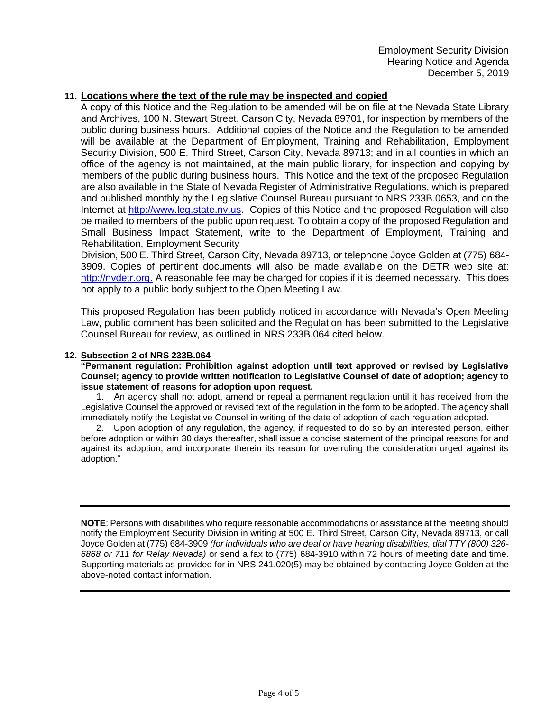#### **11. Locations where the text of the rule may be inspected and copied**

A copy of this Notice and the Regulation to be amended will be on file at the Nevada State Library and Archives, 100 N. Stewart Street, Carson City, Nevada 89701, for inspection by members of the public during business hours. Additional copies of the Notice and the Regulation to be amended will be available at the Department of Employment, Training and Rehabilitation, Employment Security Division, 500 E. Third Street, Carson City, Nevada 89713; and in all counties in which an office of the agency is not maintained, at the main public library, for inspection and copying by members of the public during business hours. This Notice and the text of the proposed Regulation are also available in the State of Nevada Register of Administrative Regulations, which is prepared and published monthly by the Legislative Counsel Bureau pursuant to NRS 233B.0653, and on the Internet at [http://www.leg.state.nv.us.](http://www.leg.state.nv.us/) Copies of this Notice and the proposed Regulation will also be mailed to members of the public upon request. To obtain a copy of the proposed Regulation and Small Business Impact Statement, write to the Department of Employment, Training and Rehabilitation, Employment Security

Division, 500 E. Third Street, Carson City, Nevada 89713, or telephone Joyce Golden at (775) 684- 3909. Copies of pertinent documents will also be made available on the DETR web site at: [http://nvdetr.org.](http://nvdetr.org/) A reasonable fee may be charged for copies if it is deemed necessary. This does not apply to a public body subject to the Open Meeting Law.

This proposed Regulation has been publicly noticed in accordance with Nevada's Open Meeting Law, public comment has been solicited and the Regulation has been submitted to the Legislative Counsel Bureau for review, as outlined in NRS 233B.064 cited below.

#### **12. Subsection 2 of NRS 233B.064**

**"Permanent regulation: Prohibition against adoption until text approved or revised by Legislative Counsel; agency to provide written notification to Legislative Counsel of date of adoption; agency to issue statement of reasons for adoption upon request.**

1. An agency shall not adopt, amend or repeal a permanent regulation until it has received from the Legislative Counsel the approved or revised text of the regulation in the form to be adopted. The agency shall immediately notify the Legislative Counsel in writing of the date of adoption of each regulation adopted.

2. Upon adoption of any regulation, the agency, if requested to do so by an interested person, either before adoption or within 30 days thereafter, shall issue a concise statement of the principal reasons for and against its adoption, and incorporate therein its reason for overruling the consideration urged against its adoption."

**NOTE**: Persons with disabilities who require reasonable accommodations or assistance at the meeting should notify the Employment Security Division in writing at 500 E. Third Street, Carson City, Nevada 89713, or call Joyce Golden at (775) 684-3909 *(for individuals who are deaf or have hearing disabilities, dial TTY (800) 326- 6868 or 711 for Relay Nevada)* or send a fax to (775) 684-3910 within 72 hours of meeting date and time. Supporting materials as provided for in NRS 241.020(5) may be obtained by contacting Joyce Golden at the above-noted contact information.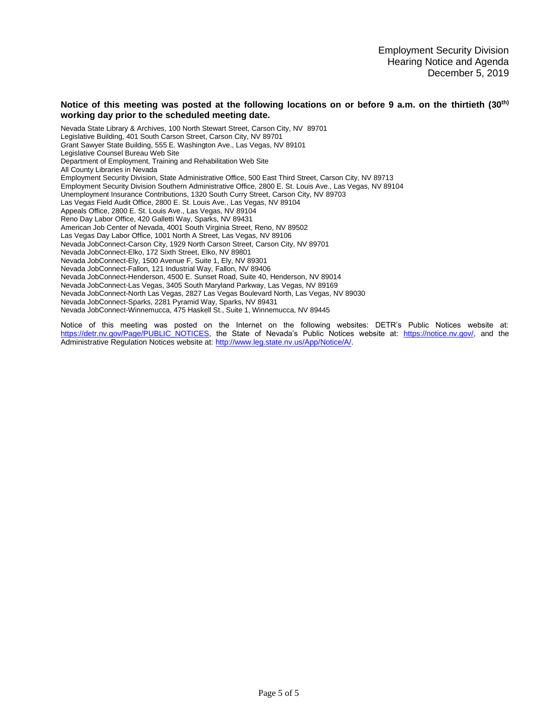#### **Notice of this meeting was posted at the following locations on or before 9 a.m. on the thirtieth (30th) working day prior to the scheduled meeting date.**

Nevada State Library & Archives, 100 North Stewart Street, Carson City, NV 89701 Legislative Building, 401 South Carson Street, Carson City, NV 89701 Grant Sawyer State Building, 555 E. Washington Ave., Las Vegas, NV 89101 Legislative Counsel Bureau Web Site Department of Employment, Training and Rehabilitation Web Site All County Libraries in Nevada Employment Security Division, State Administrative Office, 500 East Third Street, Carson City, NV 89713 Employment Security Division Southern Administrative Office, 2800 E. St. Louis Ave., Las Vegas, NV 89104 Unemployment Insurance Contributions, 1320 South Curry Street, Carson City, NV 89703 Las Vegas Field Audit Office, 2800 E. St. Louis Ave., Las Vegas, NV 89104 Appeals Office, 2800 E. St. Louis Ave., Las Vegas, NV 89104 Reno Day Labor Office, 420 Galletti Way, Sparks, NV 89431 American Job Center of Nevada, 4001 South Virginia Street, Reno, NV 89502 Las Vegas Day Labor Office, 1001 North A Street, Las Vegas, NV 89106 Nevada JobConnect-Carson City, 1929 North Carson Street, Carson City, NV 89701 Nevada JobConnect-Elko, 172 Sixth Street, Elko, NV 89801 Nevada JobConnect-Ely, 1500 Avenue F, Suite 1, Ely, NV 89301 Nevada JobConnect-Fallon, 121 Industrial Way, Fallon, NV 89406 Nevada JobConnect-Henderson, 4500 E. Sunset Road, Suite 40, Henderson, NV 89014 Nevada JobConnect-Las Vegas, 3405 South Maryland Parkway, Las Vegas, NV 89169 Nevada JobConnect-North Las Vegas, 2827 Las Vegas Boulevard North, Las Vegas, NV 89030 Nevada JobConnect-Sparks, 2281 Pyramid Way, Sparks, NV 89431 Nevada JobConnect-Winnemucca, 475 Haskell St., Suite 1, Winnemucca, NV 89445

Notice of this meeting was posted on the Internet on the following websites: DETR's Public Notices website at: [https://detr.nv.gov/Page/PUBLIC\\_NOTICES,](https://detr.nv.gov/Page/PUBLIC_NOTICES) the State of Nevada's Public Notices website at: [https://notice.nv.gov/,](https://notice.nv.gov/) and the Administrative Regulation Notices website at: [http://www.leg.state.nv.us/App/Notice/A/.](http://www.leg.state.nv.us/App/Notice/A/)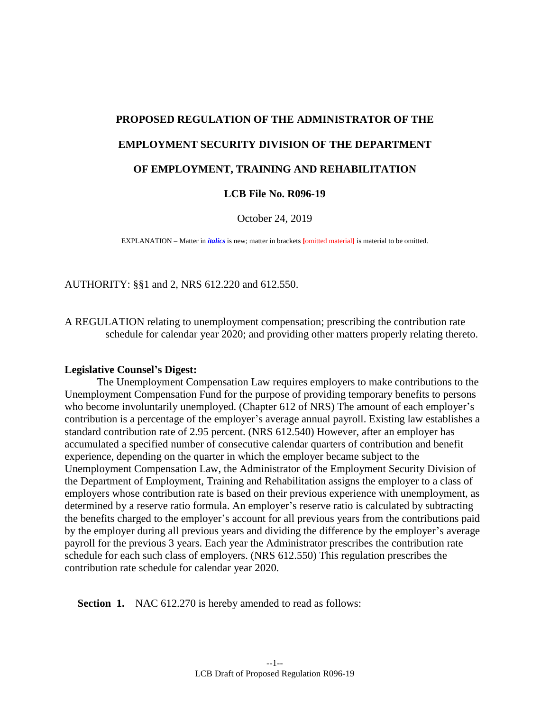# **PROPOSED REGULATION OF THE ADMINISTRATOR OF THE EMPLOYMENT SECURITY DIVISION OF THE DEPARTMENT OF EMPLOYMENT, TRAINING AND REHABILITATION**

# **LCB File No. R096-19**

October 24, 2019

EXPLANATION – Matter in *italics* is new; matter in brackets **[**omitted material**]** is material to be omitted.

AUTHORITY: §§1 and 2, NRS 612.220 and 612.550.

A REGULATION relating to unemployment compensation; prescribing the contribution rate schedule for calendar year 2020; and providing other matters properly relating thereto.

#### **Legislative Counsel's Digest:**

The Unemployment Compensation Law requires employers to make contributions to the Unemployment Compensation Fund for the purpose of providing temporary benefits to persons who become involuntarily unemployed. (Chapter 612 of NRS) The amount of each employer's contribution is a percentage of the employer's average annual payroll. Existing law establishes a standard contribution rate of 2.95 percent. (NRS 612.540) However, after an employer has accumulated a specified number of consecutive calendar quarters of contribution and benefit experience, depending on the quarter in which the employer became subject to the Unemployment Compensation Law, the Administrator of the Employment Security Division of the Department of Employment, Training and Rehabilitation assigns the employer to a class of employers whose contribution rate is based on their previous experience with unemployment, as determined by a reserve ratio formula. An employer's reserve ratio is calculated by subtracting the benefits charged to the employer's account for all previous years from the contributions paid by the employer during all previous years and dividing the difference by the employer's average payroll for the previous 3 years. Each year the Administrator prescribes the contribution rate schedule for each such class of employers. (NRS 612.550) This regulation prescribes the contribution rate schedule for calendar year 2020.

**Section 1.** NAC 612.270 is hereby amended to read as follows: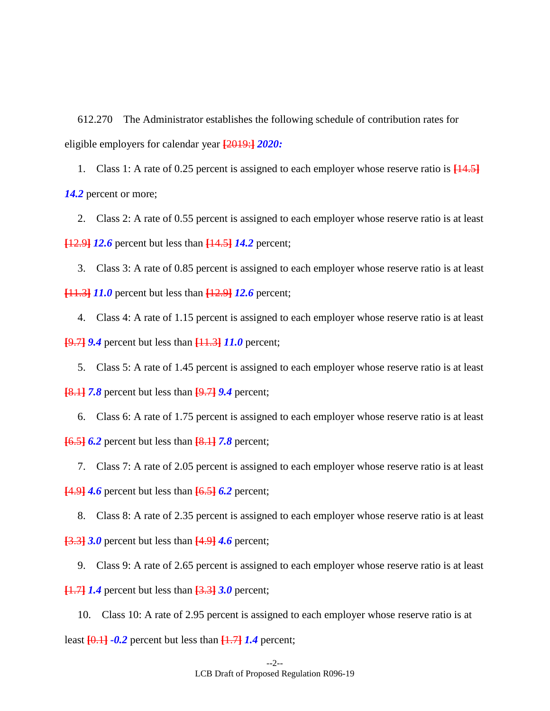612.270 The Administrator establishes the following schedule of contribution rates for eligible employers for calendar year **[**2019:**]** *2020:*

1. Class 1: A rate of 0.25 percent is assigned to each employer whose reserve ratio is **[**14.5**]** *14.2* percent or more;

2. Class 2: A rate of 0.55 percent is assigned to each employer whose reserve ratio is at least **[**12.9**]** *12.6* percent but less than **[**14.5**]** *14.2* percent;

3. Class 3: A rate of 0.85 percent is assigned to each employer whose reserve ratio is at least **[**11.3**]** *11.0* percent but less than **[**12.9**]** *12.6* percent;

4. Class 4: A rate of 1.15 percent is assigned to each employer whose reserve ratio is at least **[**9.7**]** *9.4* percent but less than **[**11.3**]** *11.0* percent;

5. Class 5: A rate of 1.45 percent is assigned to each employer whose reserve ratio is at least **[**8.1**]** *7.8* percent but less than **[**9.7**]** *9.4* percent;

6. Class 6: A rate of 1.75 percent is assigned to each employer whose reserve ratio is at least **[**6.5**]** *6.2* percent but less than **[**8.1**]** *7.8* percent;

7. Class 7: A rate of 2.05 percent is assigned to each employer whose reserve ratio is at least

**[**4.9**]** *4.6* percent but less than **[**6.5**]** *6.2* percent;

8. Class 8: A rate of 2.35 percent is assigned to each employer whose reserve ratio is at least **[**3.3**]** *3.0* percent but less than **[**4.9**]** *4.6* percent;

9. Class 9: A rate of 2.65 percent is assigned to each employer whose reserve ratio is at least

**[**1.7**]** *1.4* percent but less than **[**3.3**]** *3.0* percent;

10. Class 10: A rate of 2.95 percent is assigned to each employer whose reserve ratio is at least  $[0.1]$   $-0.2$  percent but less than  $[1.7]$   $1.4$  percent;